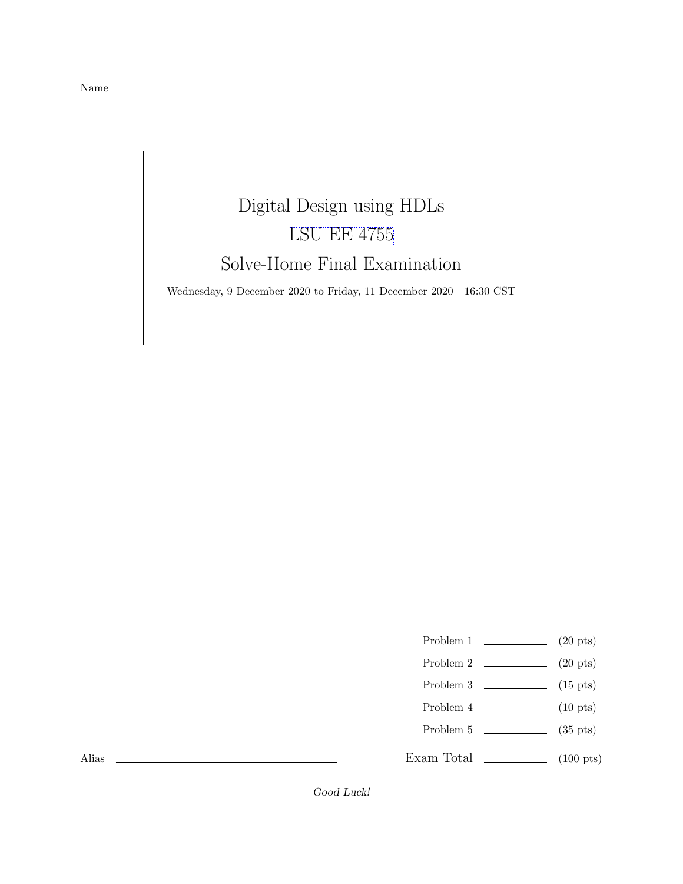## Digital Design using HDLs [LSU EE 4755](https://www.ece.lsu.edu/koppel/v/) Solve-Home Final Examination

Wednesday, 9 December 2020 to Friday, 11 December 2020 16:30 CST

- Problem 1 (20 pts)
- Problem 2  $\qquad \qquad$  (20 pts)
- Problem 3 (15 pts)
- Problem 4  $\qquad \qquad$  (10 pts)
- Problem 5 (35 pts)
- Exam Total \_\_\_\_\_\_\_\_\_\_\_\_\_\_ (100 pts)

Alias

Good Luck!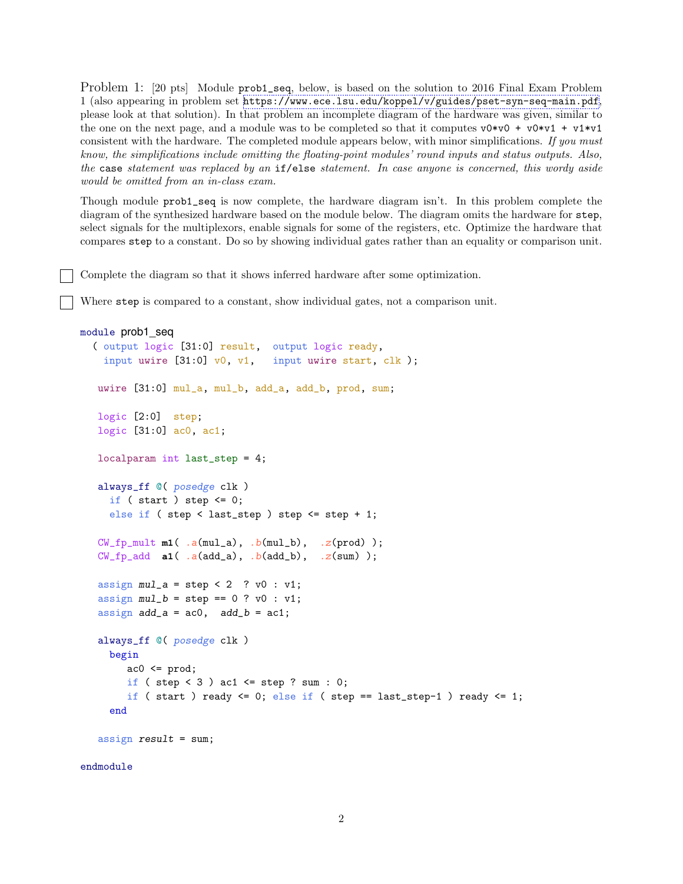Problem 1: [20 pts] Module prob1\_seq, below, is based on the solution to 2016 Final Exam Problem 1 (also appearing in problem set <https://www.ece.lsu.edu/koppel/v/guides/pset-syn-seq-main.pdf>, please look at that solution). In that problem an incomplete diagram of the hardware was given, similar to the one on the next page, and a module was to be completed so that it computes  $v0*v0 + v0*v1 + v1*v1$ consistent with the hardware. The completed module appears below, with minor simplifications. If you must know, the simplifications include omitting the floating-point modules' round inputs and status outputs. Also, the case statement was replaced by an if/else statement. In case anyone is concerned, this wordy aside would be omitted from an in-class exam.

Though module prob1\_seq is now complete, the hardware diagram isn't. In this problem complete the diagram of the synthesized hardware based on the module below. The diagram omits the hardware for step, select signals for the multiplexors, enable signals for some of the registers, etc. Optimize the hardware that compares step to a constant. Do so by showing individual gates rather than an equality or comparison unit.

Complete the diagram so that it shows inferred hardware after some optimization.

Where step is compared to a constant, show individual gates, not a comparison unit.

```
module prob1_seq
  ( output logic [31:0] result, output logic ready,
    input uwire [31:0] v0, v1, input uwire start, clk );
   uwire [31:0] mul_a, mul_b, add_a, add_b, prod, sum;
  logic [2:0] step;
  logic [31:0] ac0, ac1;
   localparam int last_step = 4;
   always_ff @( posedge clk )
     if ( start ) step \leq 0;
     else if ( step < last_step ) step <= step + 1;
   CW_f<sub>p_mult</sub> m1( .a(mu1_a), .b(mu1_b), .z(prod) );
   CW_f pad a1( .a(add_a), .b(add_b), .z(sum));
   assign mul_a = step < 2 ? v0 : v1;
   assign mul_b = step == 0 ? v0 : v1;
   assign add_a = ac0, add_b = ac1;
   always_ff @( posedge clk )
     begin
        ac0 \leq prod;if ( step < 3 ) ac1 \leq step ? sum : 0;
        if ( start ) ready \leq 0; else if ( step == last_step-1 ) ready \leq 1;
     end
   assign result = sum;
```

```
endmodule
```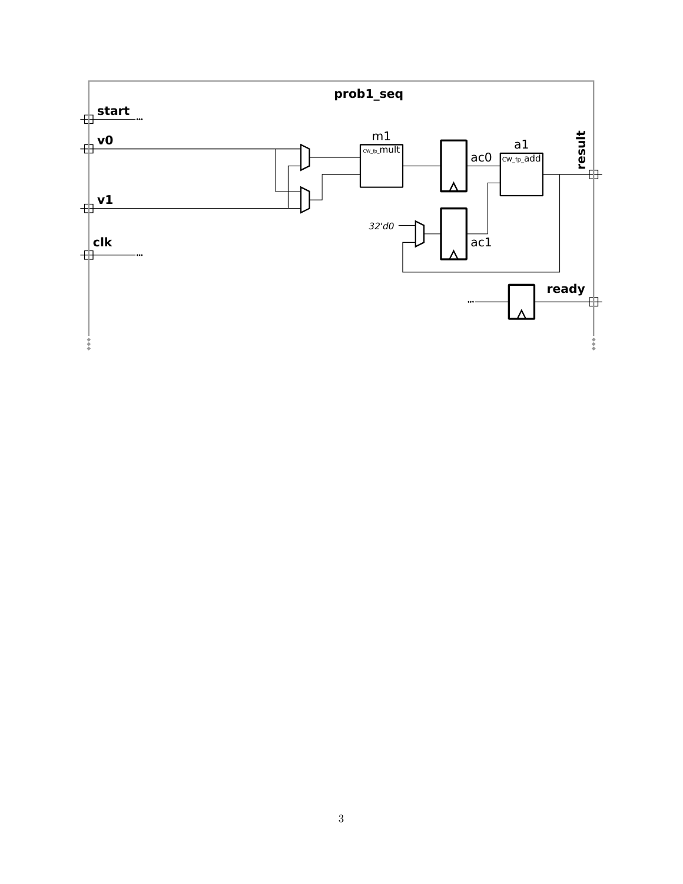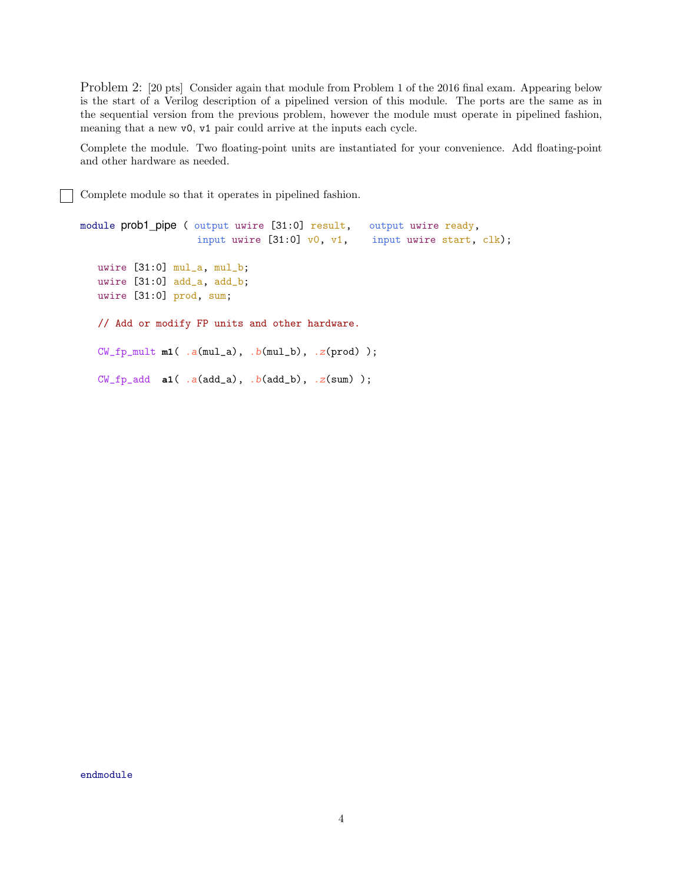Problem 2: [20 pts] Consider again that module from Problem 1 of the 2016 final exam. Appearing below is the start of a Verilog description of a pipelined version of this module. The ports are the same as in the sequential version from the previous problem, however the module must operate in pipelined fashion, meaning that a new v0, v1 pair could arrive at the inputs each cycle.

Complete the module. Two floating-point units are instantiated for your convenience. Add floating-point and other hardware as needed.

Complete module so that it operates in pipelined fashion.

```
module prob1 pipe ( output uwire [31:0] result, output uwire ready,
                         input uwire [31:0] v0, v1, input uwire start, clk);
   uwire [31:0] mul_a, mul_b;
   uwire [31:0] add_a, add_b;
   uwire [31:0] prod, sum;
   // Add or modify FP units and other hardware.
   CW_f<sub>p_mult</sub> m1( .a(mul_a), .b(mul_b), .z(prod) );
   \text{CW\_fp\_add}\quad \texttt{a1}(\ .\ \texttt{a}(\texttt{add\_a}),\ .\ \texttt{b}(\texttt{add\_b}),\ .\ \texttt{z}(\texttt{sum})\ )\,;
```
endmodule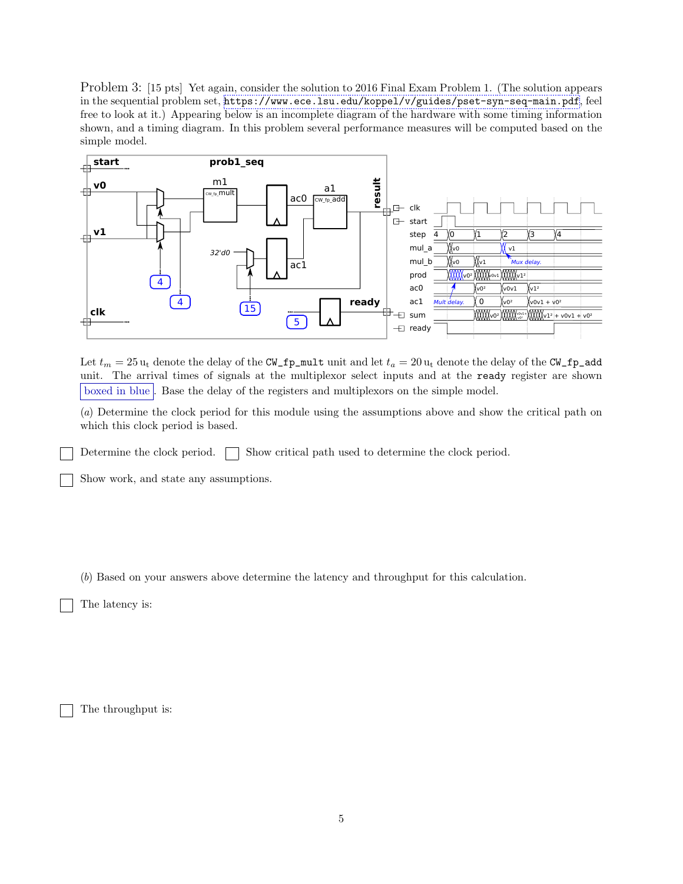Problem 3: [15 pts] Yet again, consider the solution to 2016 Final Exam Problem 1. (The solution appears in the sequential problem set, <https://www.ece.lsu.edu/koppel/v/guides/pset-syn-seq-main.pdf>, feel free to look at it.) Appearing below is an incomplete diagram of the hardware with some timing information shown, and a timing diagram. In this problem several performance measures will be computed based on the simple model.



Let  $t_m = 25 u_t$  denote the delay of the CW\_fp\_mult unit and let  $t_a = 20 u_t$  denote the delay of the CW\_fp\_add unit. The arrival times of signals at the multiplexor select inputs and at the ready register are shown boxed in blue. Base the delay of the registers and multiplexors on the simple model.

(a) Determine the clock period for this module using the assumptions above and show the critical path on which this clock period is based.

Determine the clock period.  $\Box$  Show critical path used to determine the clock period.

Show work, and state any assumptions.

(b) Based on your answers above determine the latency and throughput for this calculation.

The latency is:

The throughput is: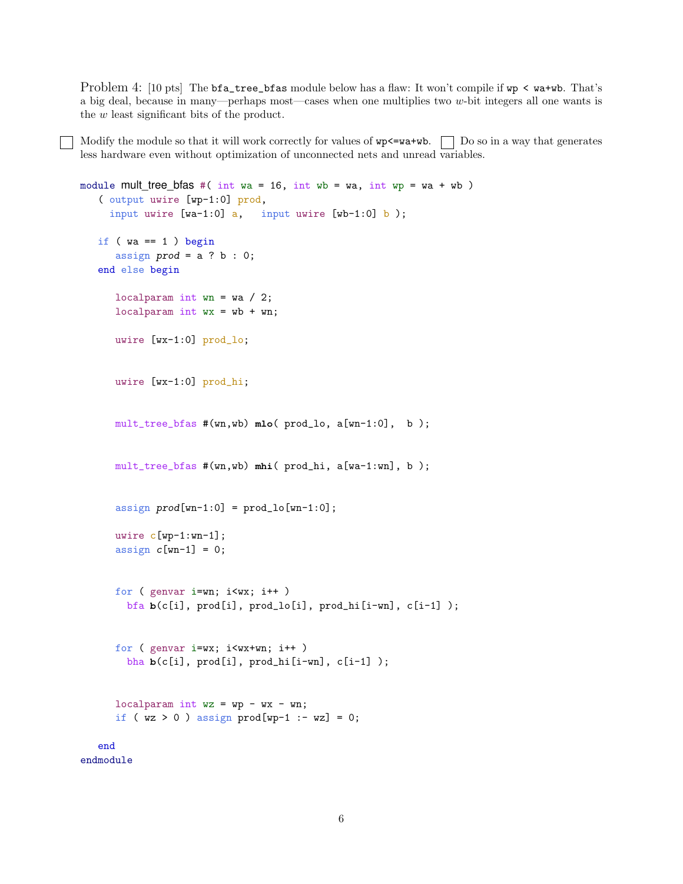Problem 4:  $[10 \text{ pts}]$  The bfa\_tree\_bfas module below has a flaw: It won't compile if  $wp \lt w$ a+wb. That's a big deal, because in many—perhaps most—cases when one multiplies two w-bit integers all one wants is the w least significant bits of the product.

Modify the module so that it will work correctly for values of  $wp \leq w a + w b$ .  $\Box$  Do so in a way that generates less hardware even without optimization of unconnected nets and unread variables.

```
module mult tree bfas #( int wa = 16, int wb = wa, int wp = wa + wb)
   ( output uwire [wp-1:0] prod,
     input uwire [wa-1:0] a, input uwire [wb-1:0] b);
   if (wa == 1) begin
     assign prod = a ? b : 0;end else begin
     localparam int wn = wa / 2;
     localparam int wx = wb + wn;uwire [wx-1:0] prod_lo;
     uwire [wx-1:0] prod_hi;
     mult_tree_bfas #(wn,wb) mlo( prod_lo, a[wn-1:0], b );
      mult_tree_bfas #(wn,wb) mhi( prod_hi, a[wa-1:wn], b );
      assign prod[wn-1:0] = prod\_lo[wn-1:0];
     uwire c[wp-1:wn-1];
      assign c[wn-1] = 0;
     for ( genvar i=wn; i<wx; i++ )
       bfa b(c[i], prod[i], prod_lo[i], prod_hi[i-wn], c[i-1] );
     for ( genvar i=wx; i\leq w+wn; i++ )
       bha b(c[i], prod[i], prod_hi[i-wn], c[i-1] );
     localparam int wz = wp - wx - wn;if (wz > 0) assign prod[wp-1 := wz] = 0;
   end
endmodule
```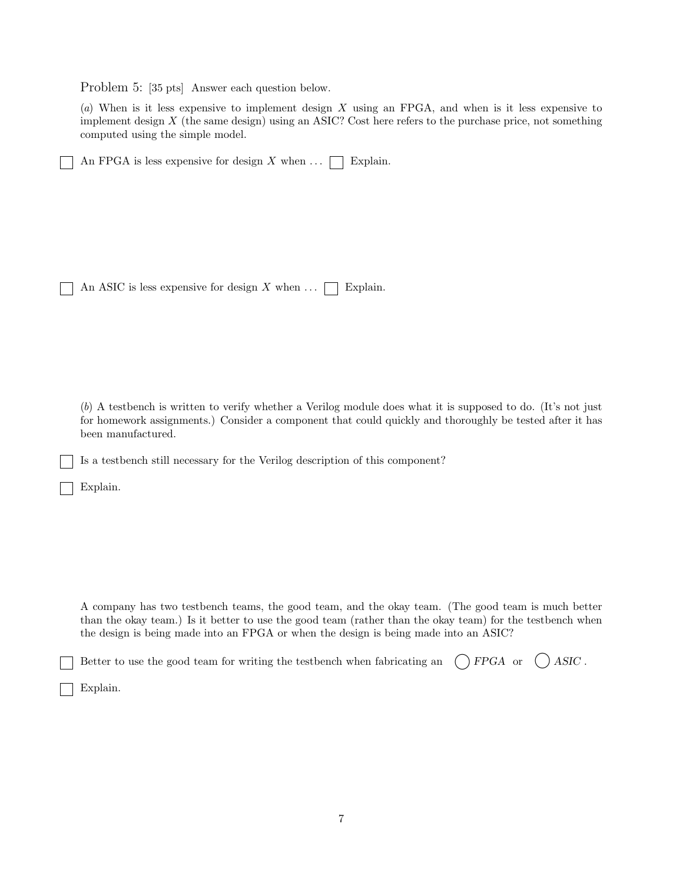Problem 5: [35 pts] Answer each question below.

(a) When is it less expensive to implement design X using an FPGA, and when is it less expensive to implement design  $X$  (the same design) using an ASIC? Cost here refers to the purchase price, not something computed using the simple model.

An FPGA is less expensive for design  $X$  when  $\dots$   $\Box$  Explain.

An ASIC is less expensive for design X when  $\ldots$   $\Box$  Explain.

(b) A testbench is written to verify whether a Verilog module does what it is supposed to do. (It's not just for homework assignments.) Consider a component that could quickly and thoroughly be tested after it has been manufactured.

Is a testbench still necessary for the Verilog description of this component?

Explain.

A company has two testbench teams, the good team, and the okay team. (The good team is much better than the okay team.) Is it better to use the good team (rather than the okay team) for the testbench when the design is being made into an FPGA or when the design is being made into an ASIC?

| Better to use the good team for writing the testbench when fabricating an $\bigcirc$ FPGA or $\bigcirc$ ASIC. |  |  |
|---------------------------------------------------------------------------------------------------------------|--|--|
|---------------------------------------------------------------------------------------------------------------|--|--|

Explain.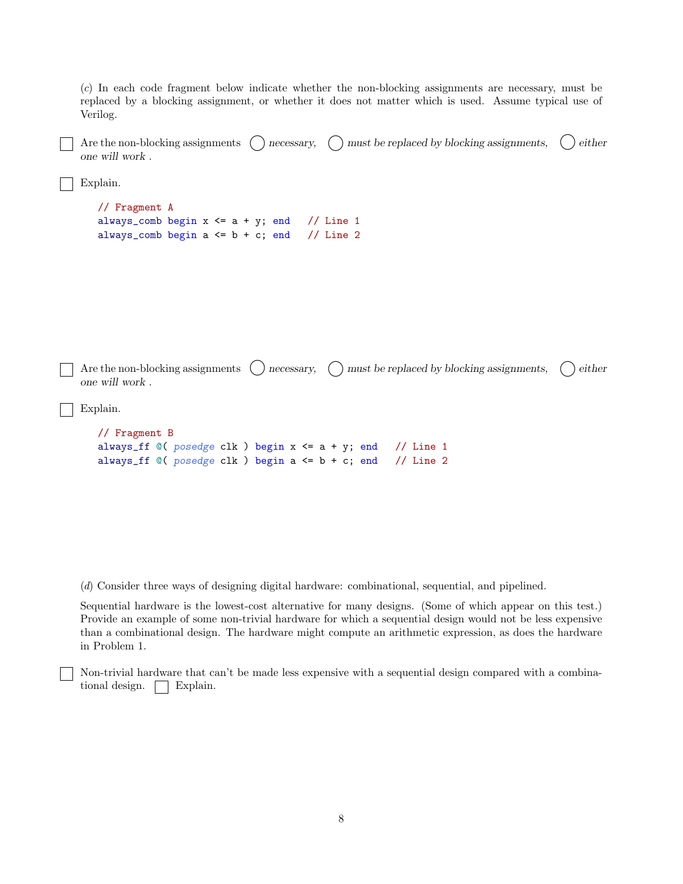(c) In each code fragment below indicate whether the non-blocking assignments are necessary, must be replaced by a blocking assignment, or whether it does not matter which is used. Assume typical use of Verilog.

```
Are the non-blocking assignments \binom{ }{ } necessary, \binom{ }{ } must be replaced by blocking assignments, \binom{ }{ } either
one will work .
```
Explain.

```
// Fragment A
always_comb begin x \le a + y; end // Line 1
always_comb begin a \leq b + c; end // Line 2
```

```
\Box Are the non-blocking assignments \bigcirc necessary, \bigcirc must be replaced by blocking assignments, \bigcirc either
  one will work .
```
Explain.

```
// Fragment B
always_ff @( posedge clk ) begin x \le a + y; end // Line 1
always_ff @( posedge clk ) begin a <= b + c; end // Line 2
```
(d) Consider three ways of designing digital hardware: combinational, sequential, and pipelined.

Sequential hardware is the lowest-cost alternative for many designs. (Some of which appear on this test.) Provide an example of some non-trivial hardware for which a sequential design would not be less expensive than a combinational design. The hardware might compute an arithmetic expression, as does the hardware in Problem 1.

Non-trivial hardware that can't be made less expensive with a sequential design compared with a combinational design. Explain.